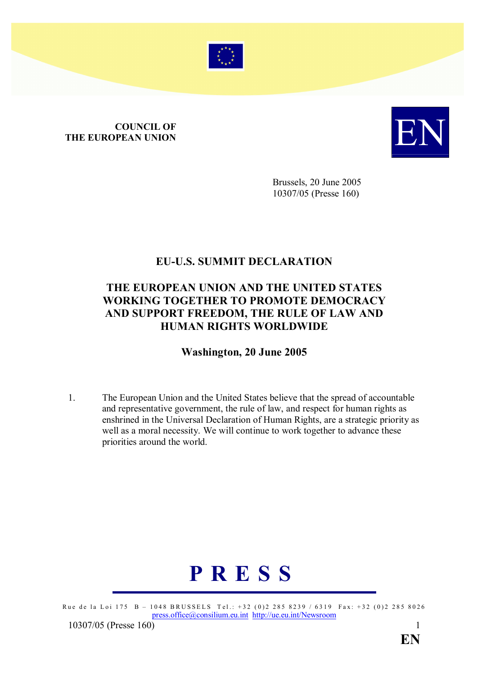

## **COUNCIL OF<br>THE EUROPEAN UNION COUNCIL OF THE EUROPEAN UNION**



Brussels, 20 June 2005 10307/05 (Presse 160)

## EU-U.S. SUMMIT DECLARATION

## THE EUROPEAN UNION AND THE UNITED STATES WORKING TOGETHER TO PROMOTE DEMOCRACY AND SUPPORT FREEDOM, THE RULE OF LAW AND HUMAN RIGHTS WORLDWIDE

## Washington, 20 June 2005

1. The European Union and the United States believe that the spread of accountable and representative government, the rule of law, and respect for human rights as enshrined in the Universal Declaration of Human Rights, are a strategic priority as well as a moral necessity. We will continue to work together to advance these priorities around the world.



Rue de la Loi 175 B – 1048 BRUSSELS Tel.: +32 (0)2 285 8239 / 6319 Fax: +32 (0)2 285 8026 press.office@consilium.eu.int http://ue.eu.int/Newsroom

10307/05 (Presse 160[\)](mailto:press.office@consilium.eu.int) 1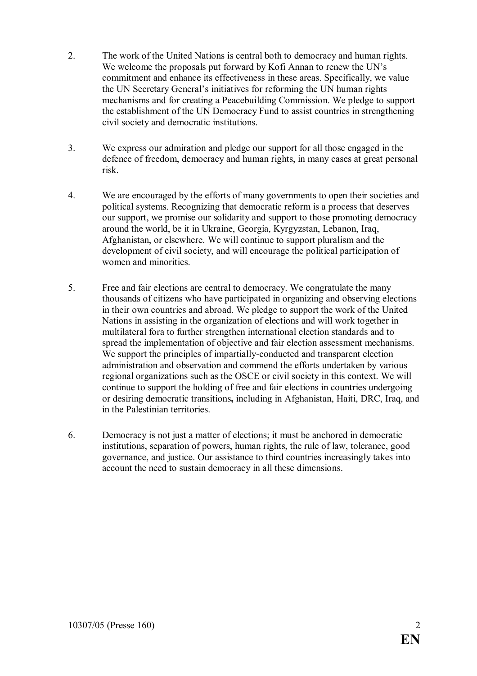- 2. The work of the United Nations is central both to democracy and human rights. We welcome the proposals put forward by Kofi Annan to renew the UN's commitment and enhance its effectiveness in these areas. Specifically, we value the UN Secretary General's initiatives for reforming the UN human rights mechanisms and for creating a Peacebuilding Commission. We pledge to support the establishment of the UN Democracy Fund to assist countries in strengthening civil society and democratic institutions.
- 3. We express our admiration and pledge our support for all those engaged in the defence of freedom, democracy and human rights, in many cases at great personal risk.
- 4. We are encouraged by the efforts of many governments to open their societies and political systems. Recognizing that democratic reform is a process that deserves our support, we promise our solidarity and support to those promoting democracy around the world, be it in Ukraine, Georgia, Kyrgyzstan, Lebanon, Iraq, Afghanistan, or elsewhere. We will continue to support pluralism and the development of civil society, and will encourage the political participation of women and minorities.
- 5. Free and fair elections are central to democracy. We congratulate the many thousands of citizens who have participated in organizing and observing elections in their own countries and abroad. We pledge to support the work of the United Nations in assisting in the organization of elections and will work together in multilateral fora to further strengthen international election standards and to spread the implementation of objective and fair election assessment mechanisms. We support the principles of impartially-conducted and transparent election administration and observation and commend the efforts undertaken by various regional organizations such as the OSCE or civil society in this context. We will continue to support the holding of free and fair elections in countries undergoing or desiring democratic transitions, including in Afghanistan, Haiti, DRC, Iraq, and in the Palestinian territories.
- 6. Democracy is not just a matter of elections; it must be anchored in democratic institutions, separation of powers, human rights, the rule of law, tolerance, good governance, and justice. Our assistance to third countries increasingly takes into account the need to sustain democracy in all these dimensions.